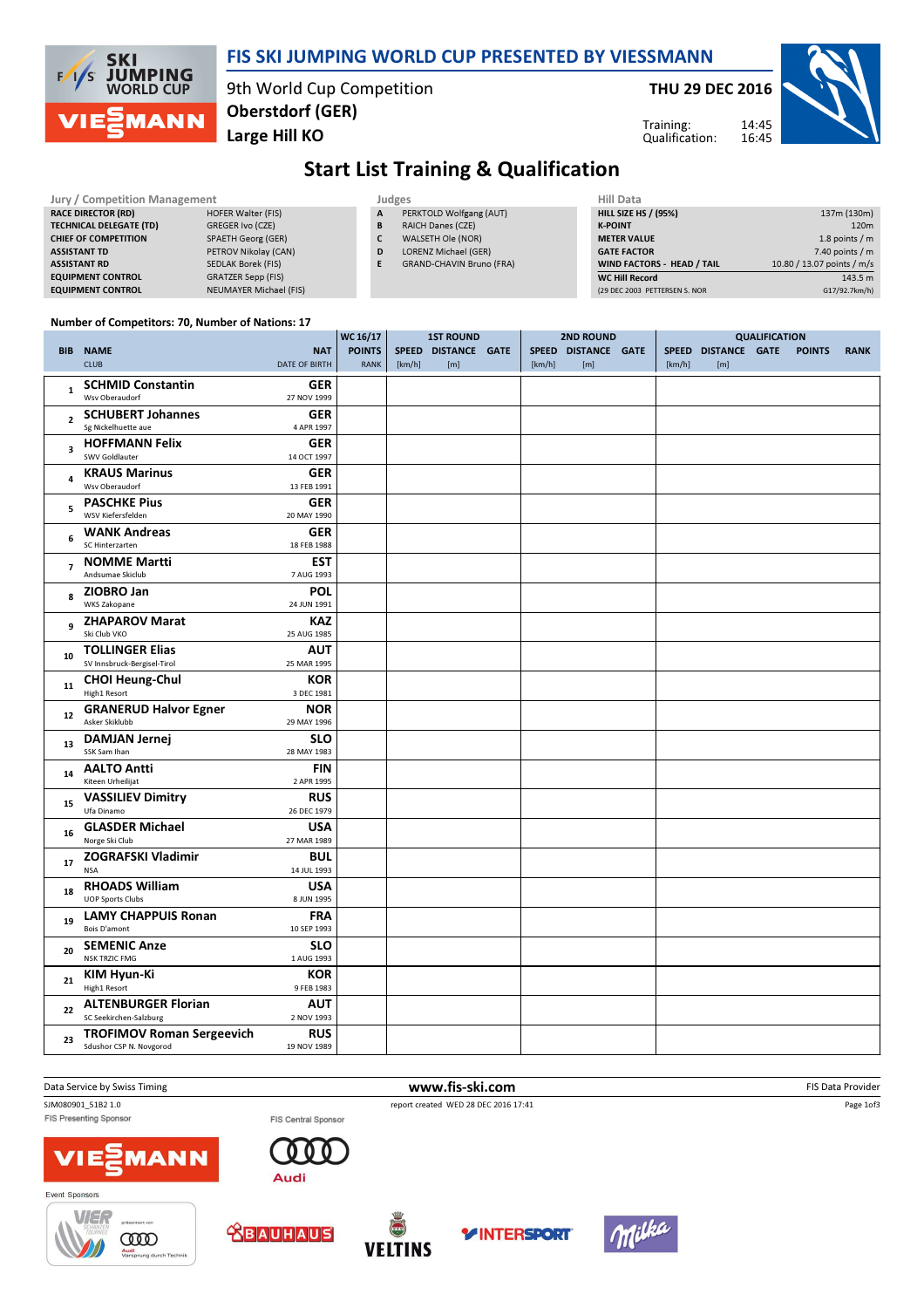### FIS SKI JUMPING WORLD CUP PRESENTED BY VIESSMANN

9th World Cup Competition Large Hill KO Oberstdorf (GER)

### THU 29 DEC 2016



 $\overline{143.5 \text{ m}}$ G17/92.7km/h)

Training: Qualification:

# Start List Training & Qualification

| Jury / Competition Management  |                           |   | Judges                          | Hill Data                         |                            |  |  |  |
|--------------------------------|---------------------------|---|---------------------------------|-----------------------------------|----------------------------|--|--|--|
| <b>RACE DIRECTOR (RD)</b>      | <b>HOFER Walter (FIS)</b> | A | PERKTOLD Wolfgang (AUT)         | <b>HILL SIZE HS / (95%)</b>       | 137m (130m)                |  |  |  |
| <b>TECHNICAL DELEGATE (TD)</b> | GREGER Ivo (CZE)          | B | <b>RAICH Danes (CZE)</b>        | <b>K-POINT</b>                    | 120m                       |  |  |  |
| <b>CHIEF OF COMPETITION</b>    | SPAETH Georg (GER)        |   | WALSETH Ole (NOR)               | <b>METER VALUE</b>                | 1.8 points / m             |  |  |  |
| <b>ASSISTANT TD</b>            | PETROV Nikolay (CAN)      | D | LORENZ Michael (GER)            | <b>GATE FACTOR</b>                | 7.40 points / m            |  |  |  |
| <b>ASSISTANT RD</b>            | SEDLAK Borek (FIS)        |   | <b>GRAND-CHAVIN Bruno (FRA)</b> | <b>WIND FACTORS - HEAD / TAIL</b> | 10.80 / 13.07 points / m/s |  |  |  |
| <b>EQUIPMENT CONTROL</b>       | GRATZER Sepp (FIS)        |   |                                 | <b>WC Hill Record</b>             | 143.5 m                    |  |  |  |
| <b>EQUIPMENT CONTROL</b>       | NEUMAYER Michael (FIS)    |   |                                 | (29 DEC 2003 PETTERSEN S. NOR     | G17/92.7km/h)              |  |  |  |

#### Number of Competitors: 70, Number of Nations: 17

**SKI** 

 $F/1/S$ 

**JUMPING**<br>WORLD CUP

**MANN** 

|                         |                                            |             | WC 16/17<br><b>1ST ROUND</b> |        | <b>2ND ROUND</b>    |  |        | <b>QUALIFICATION</b> |  |        |                     |  |               |             |
|-------------------------|--------------------------------------------|-------------|------------------------------|--------|---------------------|--|--------|----------------------|--|--------|---------------------|--|---------------|-------------|
|                         | <b>BIB NAME</b>                            | <b>NAT</b>  | <b>POINTS</b>                |        | SPEED DISTANCE GATE |  |        | SPEED DISTANCE GATE  |  |        | SPEED DISTANCE GATE |  | <b>POINTS</b> | <b>RANK</b> |
|                         | <b>CLUB</b><br><b>DATE OF BIRTH</b>        |             | <b>RANK</b>                  | [km/h] | [m]                 |  | [km/h] | [m]                  |  | [km/h] | [m]                 |  |               |             |
|                         |                                            |             |                              |        |                     |  |        |                      |  |        |                     |  |               |             |
| $\mathbf{1}$            | <b>SCHMID Constantin</b><br>Wsv Oberaudorf | GER         |                              |        |                     |  |        |                      |  |        |                     |  |               |             |
|                         |                                            | 27 NOV 1999 |                              |        |                     |  |        |                      |  |        |                     |  |               |             |
| $\overline{2}$          | <b>SCHUBERT Johannes</b>                   | <b>GER</b>  |                              |        |                     |  |        |                      |  |        |                     |  |               |             |
|                         | Sg Nickelhuette aue                        | 4 APR 1997  |                              |        |                     |  |        |                      |  |        |                     |  |               |             |
| $\overline{\mathbf{3}}$ | <b>HOFFMANN Felix</b>                      | <b>GER</b>  |                              |        |                     |  |        |                      |  |        |                     |  |               |             |
|                         | SWV Goldlauter                             | 14 OCT 1997 |                              |        |                     |  |        |                      |  |        |                     |  |               |             |
| $\overline{a}$          | <b>KRAUS Marinus</b>                       | <b>GER</b>  |                              |        |                     |  |        |                      |  |        |                     |  |               |             |
|                         | Wsv Oberaudorf                             | 13 FEB 1991 |                              |        |                     |  |        |                      |  |        |                     |  |               |             |
|                         | <b>PASCHKE Pius</b>                        | <b>GER</b>  |                              |        |                     |  |        |                      |  |        |                     |  |               |             |
| 5                       | WSV Kiefersfelden                          | 20 MAY 1990 |                              |        |                     |  |        |                      |  |        |                     |  |               |             |
|                         | <b>WANK Andreas</b>                        | <b>GER</b>  |                              |        |                     |  |        |                      |  |        |                     |  |               |             |
| 6                       | SC Hinterzarten                            | 18 FEB 1988 |                              |        |                     |  |        |                      |  |        |                     |  |               |             |
|                         | <b>NOMME Martti</b>                        | <b>EST</b>  |                              |        |                     |  |        |                      |  |        |                     |  |               |             |
| $\overline{7}$          | Andsumae Skiclub                           | 7 AUG 1993  |                              |        |                     |  |        |                      |  |        |                     |  |               |             |
|                         |                                            |             |                              |        |                     |  |        |                      |  |        |                     |  |               |             |
| 8                       | ZIOBRO Jan<br>WKS Zakopane                 | <b>POL</b>  |                              |        |                     |  |        |                      |  |        |                     |  |               |             |
|                         |                                            | 24 JUN 1991 |                              |        |                     |  |        |                      |  |        |                     |  |               |             |
| 9                       | <b>ZHAPAROV Marat</b>                      | <b>KAZ</b>  |                              |        |                     |  |        |                      |  |        |                     |  |               |             |
|                         | Ski Club VKO                               | 25 AUG 1985 |                              |        |                     |  |        |                      |  |        |                     |  |               |             |
| 10                      | <b>TOLLINGER Elias</b>                     | <b>AUT</b>  |                              |        |                     |  |        |                      |  |        |                     |  |               |             |
|                         | SV Innsbruck-Bergisel-Tirol                | 25 MAR 1995 |                              |        |                     |  |        |                      |  |        |                     |  |               |             |
| 11                      | <b>CHOI Heung-Chul</b>                     | <b>KOR</b>  |                              |        |                     |  |        |                      |  |        |                     |  |               |             |
|                         | High1 Resort                               | 3 DEC 1981  |                              |        |                     |  |        |                      |  |        |                     |  |               |             |
|                         | <b>GRANERUD Halvor Egner</b>               | <b>NOR</b>  |                              |        |                     |  |        |                      |  |        |                     |  |               |             |
| 12                      | Asker Skiklubb                             | 29 MAY 1996 |                              |        |                     |  |        |                      |  |        |                     |  |               |             |
|                         | <b>DAMJAN Jernej</b>                       | <b>SLO</b>  |                              |        |                     |  |        |                      |  |        |                     |  |               |             |
| 13                      | SSK Sam Ihan                               | 28 MAY 1983 |                              |        |                     |  |        |                      |  |        |                     |  |               |             |
|                         | <b>AALTO Antti</b>                         | <b>FIN</b>  |                              |        |                     |  |        |                      |  |        |                     |  |               |             |
| 14                      | Kiteen Urheilijat                          | 2 APR 1995  |                              |        |                     |  |        |                      |  |        |                     |  |               |             |
|                         |                                            | <b>RUS</b>  |                              |        |                     |  |        |                      |  |        |                     |  |               |             |
| 15                      | <b>VASSILIEV Dimitry</b><br>Ufa Dinamo     | 26 DEC 1979 |                              |        |                     |  |        |                      |  |        |                     |  |               |             |
|                         |                                            |             |                              |        |                     |  |        |                      |  |        |                     |  |               |             |
| 16                      | <b>GLASDER Michael</b><br>Norge Ski Club   | <b>USA</b>  |                              |        |                     |  |        |                      |  |        |                     |  |               |             |
|                         |                                            | 27 MAR 1989 |                              |        |                     |  |        |                      |  |        |                     |  |               |             |
| 17                      | <b>ZOGRAFSKI Vladimir</b>                  | <b>BUL</b>  |                              |        |                     |  |        |                      |  |        |                     |  |               |             |
|                         | <b>NSA</b>                                 | 14 JUL 1993 |                              |        |                     |  |        |                      |  |        |                     |  |               |             |
| 18                      | <b>RHOADS William</b>                      | <b>USA</b>  |                              |        |                     |  |        |                      |  |        |                     |  |               |             |
|                         | <b>UOP Sports Clubs</b>                    | 8 JUN 1995  |                              |        |                     |  |        |                      |  |        |                     |  |               |             |
| 19                      | <b>LAMY CHAPPUIS Ronan</b>                 | <b>FRA</b>  |                              |        |                     |  |        |                      |  |        |                     |  |               |             |
|                         | Bois D'amont                               | 10 SEP 1993 |                              |        |                     |  |        |                      |  |        |                     |  |               |             |
|                         | <b>SEMENIC Anze</b>                        | <b>SLO</b>  |                              |        |                     |  |        |                      |  |        |                     |  |               |             |
| 20                      | <b>NSK TRZIC FMG</b>                       | 1 AUG 1993  |                              |        |                     |  |        |                      |  |        |                     |  |               |             |
|                         | KIM Hyun-Ki                                | <b>KOR</b>  |                              |        |                     |  |        |                      |  |        |                     |  |               |             |
| 21                      | High1 Resort                               | 9 FEB 1983  |                              |        |                     |  |        |                      |  |        |                     |  |               |             |
|                         | <b>ALTENBURGER Florian</b>                 | <b>AUT</b>  |                              |        |                     |  |        |                      |  |        |                     |  |               |             |
| 22                      | SC Seekirchen-Salzburg                     | 2 NOV 1993  |                              |        |                     |  |        |                      |  |        |                     |  |               |             |
|                         |                                            |             |                              |        |                     |  |        |                      |  |        |                     |  |               |             |
| 23                      | <b>TROFIMOV Roman Sergeevich</b>           | <b>RUS</b>  |                              |        |                     |  |        |                      |  |        |                     |  |               |             |
|                         | Sdushor CSP N. Novgorod                    | 19 NOV 1989 |                              |        |                     |  |        |                      |  |        |                     |  |               |             |

Data Service by Swiss Timing **EXECUTE:** The Service by Swiss Timing FIS Data Provider

FIS Presenting Sponsor

FIS Central Sponsor

**1ANN** 



Page 1of3





Event Sponsors









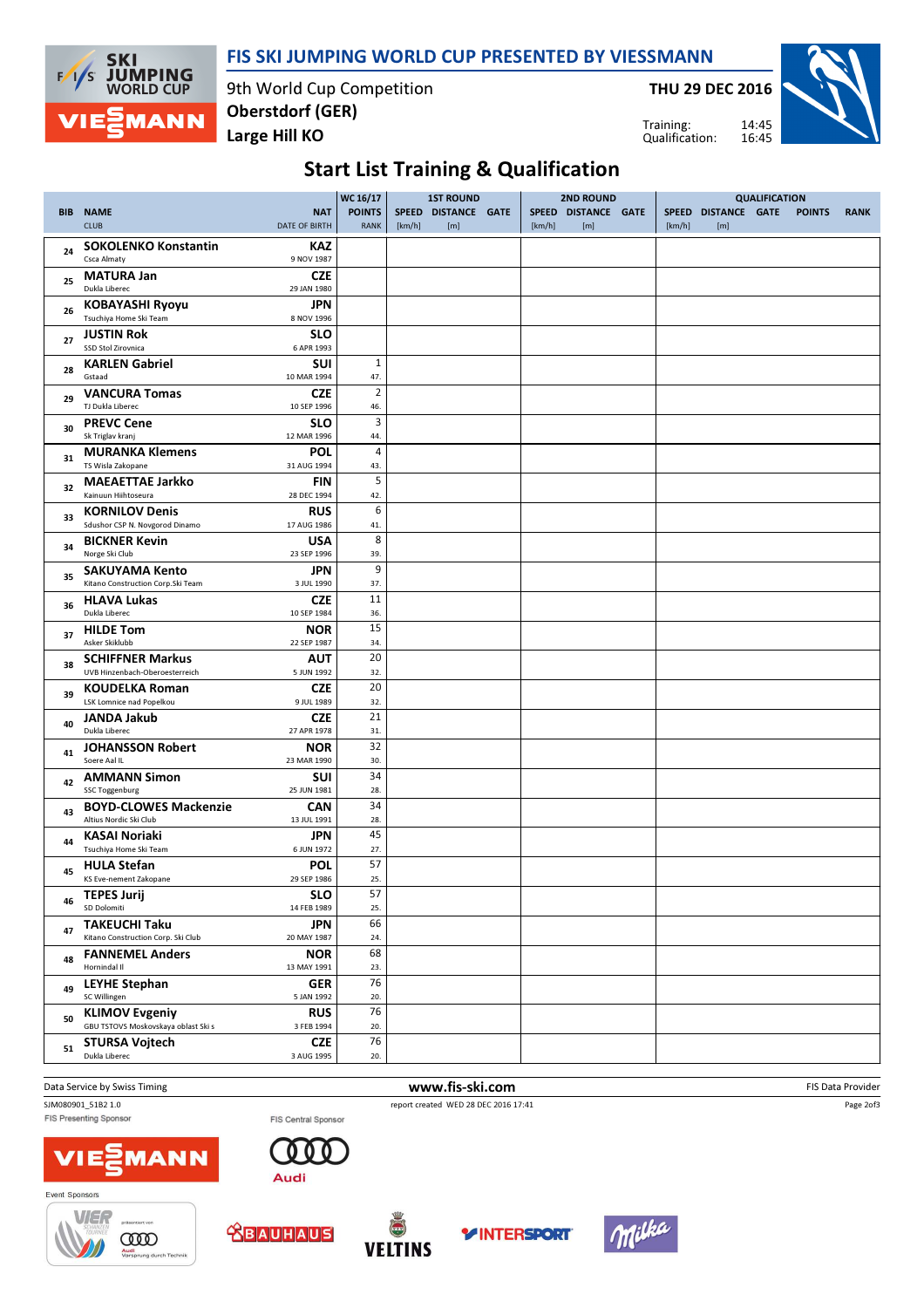### FIS SKI JUMPING WORLD CUP PRESENTED BY VIESSMANN



9th World Cup Competition Large Hill KO Oberstdorf (GER)

THU 29 DEC 2016

Training: Qualification:



# Start List Training & Qualification

|            |                                                              |                                    | WC 16/17                     |        | <b>1ST ROUND</b>           |        | <b>2ND ROUND</b>           |        |                            | <b>QUALIFICATION</b> |               |             |
|------------|--------------------------------------------------------------|------------------------------------|------------------------------|--------|----------------------------|--------|----------------------------|--------|----------------------------|----------------------|---------------|-------------|
| <b>BIB</b> | <b>NAME</b><br><b>CLUB</b>                                   | <b>NAT</b><br><b>DATE OF BIRTH</b> | <b>POINTS</b><br><b>RANK</b> | [km/h] | SPEED DISTANCE GATE<br>[m] | [km/h] | SPEED DISTANCE GATE<br>[m] | [km/h] | SPEED DISTANCE GATE<br>[m] |                      | <b>POINTS</b> | <b>RANK</b> |
| 24         | <b>SOKOLENKO Konstantin</b><br>Csca Almaty                   | KAZ<br>9 NOV 1987                  |                              |        |                            |        |                            |        |                            |                      |               |             |
| 25         | <b>MATURA Jan</b><br>Dukla Liberec                           | <b>CZE</b><br>29 JAN 1980          |                              |        |                            |        |                            |        |                            |                      |               |             |
| 26         | <b>KOBAYASHI Ryoyu</b><br>Tsuchiya Home Ski Team             | JPN<br>8 NOV 1996                  |                              |        |                            |        |                            |        |                            |                      |               |             |
| 27         | <b>JUSTIN Rok</b><br>SSD Stol Zirovnica                      | <b>SLO</b><br>6 APR 1993           |                              |        |                            |        |                            |        |                            |                      |               |             |
| 28         | <b>KARLEN Gabriel</b><br>Gstaad                              | <b>SUI</b><br>10 MAR 1994          | $1\,$<br>47.                 |        |                            |        |                            |        |                            |                      |               |             |
| 29         | <b>VANCURA Tomas</b><br>TJ Dukla Liberec                     | <b>CZE</b><br>10 SEP 1996          | $\overline{2}$<br>46.        |        |                            |        |                            |        |                            |                      |               |             |
| 30         | <b>PREVC Cene</b><br>Sk Triglav kranj                        | <b>SLO</b><br>12 MAR 1996          | 3<br>44.                     |        |                            |        |                            |        |                            |                      |               |             |
| 31         | <b>MURANKA Klemens</b><br>TS Wisla Zakopane                  | <b>POL</b><br>31 AUG 1994          | 4<br>43.                     |        |                            |        |                            |        |                            |                      |               |             |
| 32         | <b>MAEAETTAE Jarkko</b><br>Kainuun Hiihtoseura               | <b>FIN</b><br>28 DEC 1994          | 5<br>42.                     |        |                            |        |                            |        |                            |                      |               |             |
| 33         | <b>KORNILOV Denis</b><br>Sdushor CSP N. Novgorod Dinamo      | <b>RUS</b><br>17 AUG 1986          | 6<br>41.                     |        |                            |        |                            |        |                            |                      |               |             |
| 34         | <b>BICKNER Kevin</b><br>Norge Ski Club                       | <b>USA</b><br>23 SEP 1996          | 8<br>39.                     |        |                            |        |                            |        |                            |                      |               |             |
| 35         | <b>SAKUYAMA Kento</b><br>Kitano Construction Corp. Ski Team  | JPN<br>3 JUL 1990                  | 9<br>37.                     |        |                            |        |                            |        |                            |                      |               |             |
| 36         | <b>HLAVA Lukas</b><br>Dukla Liberec                          | <b>CZE</b><br>10 SEP 1984          | 11<br>36.                    |        |                            |        |                            |        |                            |                      |               |             |
| 37         | <b>HILDE Tom</b><br>Asker Skiklubb                           | <b>NOR</b><br>22 SEP 1987          | 15<br>34.                    |        |                            |        |                            |        |                            |                      |               |             |
| 38         | <b>SCHIFFNER Markus</b><br>UVB Hinzenbach-Oberoesterreich    | AUT<br>5 JUN 1992                  | 20<br>32.                    |        |                            |        |                            |        |                            |                      |               |             |
| 39         | <b>KOUDELKA Roman</b><br>LSK Lomnice nad Popelkou            | <b>CZE</b><br>9 JUL 1989           | 20<br>32.                    |        |                            |        |                            |        |                            |                      |               |             |
| 40         | JANDA Jakub<br>Dukla Liberec                                 | <b>CZE</b><br>27 APR 1978          | 21<br>31.                    |        |                            |        |                            |        |                            |                      |               |             |
| 41         | <b>JOHANSSON Robert</b><br>Soere Aal IL                      | <b>NOR</b><br>23 MAR 1990          | 32<br>30.                    |        |                            |        |                            |        |                            |                      |               |             |
| 42         | <b>AMMANN Simon</b><br><b>SSC Toggenburg</b>                 | <b>SUI</b><br>25 JUN 1981          | 34<br>28.                    |        |                            |        |                            |        |                            |                      |               |             |
| 43         | <b>BOYD-CLOWES Mackenzie</b><br>Altius Nordic Ski Club       | <b>CAN</b><br>13 JUL 1991          | 34<br>28.                    |        |                            |        |                            |        |                            |                      |               |             |
| 44         | KASAI Noriaki<br>Tsuchiya Home Ski Team                      | JPN<br>6 JUN 1972                  | 45<br>27.                    |        |                            |        |                            |        |                            |                      |               |             |
| 45         | <b>HULA Stefan</b><br><b>KS Eve-nement Zakopane</b>          | <b>POL</b><br>29 SEP 1986          | 57<br>25.                    |        |                            |        |                            |        |                            |                      |               |             |
| 46         | <b>TEPES Jurij</b><br>SD Dolomiti                            | <b>SLO</b><br>14 FEB 1989          | 57<br>25.                    |        |                            |        |                            |        |                            |                      |               |             |
| 47         | <b>TAKEUCHI Taku</b><br>Kitano Construction Corp. Ski Club   | JPN<br>20 MAY 1987                 | 66<br>24.                    |        |                            |        |                            |        |                            |                      |               |             |
| 48         | <b>FANNEMEL Anders</b><br>Hornindal II                       | <b>NOR</b><br>13 MAY 1991          | 68<br>23.                    |        |                            |        |                            |        |                            |                      |               |             |
| 49         | <b>LEYHE Stephan</b><br>SC Willingen                         | <b>GER</b><br>5 JAN 1992           | 76<br>20.                    |        |                            |        |                            |        |                            |                      |               |             |
| 50         | <b>KLIMOV Evgeniy</b><br>GBU TSTOVS Moskovskaya oblast Ski s | <b>RUS</b><br>3 FEB 1994           | 76<br>20.                    |        |                            |        |                            |        |                            |                      |               |             |
| 51         | <b>STURSA Vojtech</b><br>Dukla Liberec                       | <b>CZE</b><br>3 AUG 1995           | 76<br>20.                    |        |                            |        |                            |        |                            |                      |               |             |
|            |                                                              |                                    |                              |        |                            |        |                            |        |                            |                      |               |             |

Data Service by Swiss Timing **EXECUTE:** The Service by Swiss Timing FIS Data Provider

SJM080901\_51B2 1.0 report created WED 28 DEC 2016 17:41<br>FIS Central Sponsor FIS Central Sponsor FIS Central Sponsor

Page 2of3





FIS Central Sponsor